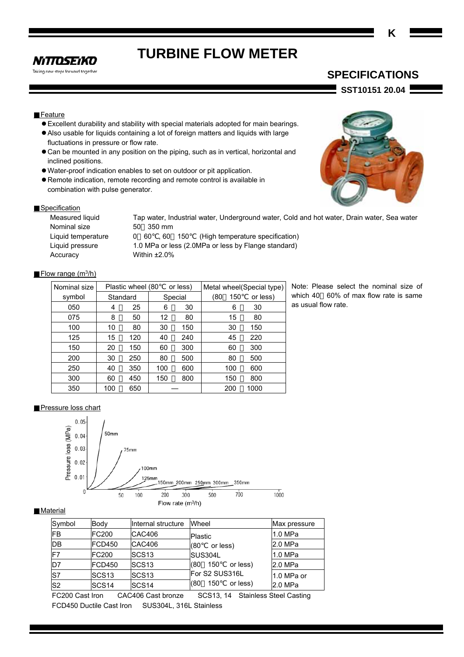# **TURBINE FLOW METER**

**NITTOSEIKO** Taking new steps forward together

# **SPECIFICATIONS**

**SST10151 20.04** 

# Feature

- Excellent durability and stability with special materials adopted for main bearings.
- Also usable for liquids containing a lot of foreign matters and liquids with large fluctuations in pressure or flow rate.
- Can be mounted in any position on the piping, such as in vertical, horizontal and inclined positions.
- Water-proof indication enables to set on outdoor or pit application.
- Remote indication, remote recording and remote control is available in combination with pulse generator.



## Specification

Nominal size 50 350 mm Accuracy Within ±2.0%

Measured liquid Tap water, Industrial water, Underground water, Cold and hot water, Drain water, Sea water Liquid temperature 0 60 , 60 150 (High temperature specification) Liquid pressure 1.0 MPa or less (2.0MPa or less by Flange standard)

## Flow range  $(m^3/h)$

| Nominal size | Plastic wheel (80<br>or less)<br>Metal wheel(Special type) |          |     |         |            |          |
|--------------|------------------------------------------------------------|----------|-----|---------|------------|----------|
| symbol       |                                                            | Standard |     | Special | (80<br>150 | or less) |
| 050          | 4                                                          | 25       | 6   | 30      | 6          | 30       |
| 075          | 8                                                          | 50       | 12  | 80      | 15         | 80       |
| 100          | 10                                                         | 80       | 30  | 150     | 30         | 150      |
| 125          | 15                                                         | 120      | 40  | 240     | 45         | 220      |
| 150          | 20                                                         | 150      | 60  | 300     | 60         | 300      |
| 200          | 30                                                         | 250      | 80  | 500     | 80         | 500      |
| 250          | 40                                                         | 350      | 100 | 600     | 100        | 600      |
| 300          | 60                                                         | 450      | 150 | 800     | 150        | 800      |
| 350          | 100                                                        | 650      |     |         | 200        | 1000     |

Note: Please select the nominal size of which 40 60% of max flow rate is same as usual flow rate.

#### Pressure loss chart



## **Material**

| Symbol         | Body              | Internal structure | Wheel                  | Max pressure |
|----------------|-------------------|--------------------|------------------------|--------------|
| <b>IFB</b>     | <b>FC200</b>      | CAC406             | <b>Plastic</b>         | 1.0 MPa      |
| DB             | <b>FCD450</b>     | <b>CAC406</b>      | or less)<br>(80        | 2.0 MPa      |
| F7             | <b>FC200</b>      | SCS <sub>13</sub>  | SUS304L                | 1.0 MPa      |
| D <sub>7</sub> | <b>FCD450</b>     | SCS <sub>13</sub>  | 150<br>or less)<br>(80 | 2.0 MPa      |
| S7             | SCS <sub>13</sub> | SCS <sub>13</sub>  | For S2 SUS316L         | 1.0 MPa or   |
| S <sub>2</sub> | SCS <sub>14</sub> | SCS <sub>14</sub>  | 150<br>or less)<br>(80 | 2.0 MPa      |

FC200 Cast Iron CAC406 Cast bronze SCS13, 14 Stainless Steel Casting FCD450 Ductile Cast Iron SUS304L, 316L Stainless

**K**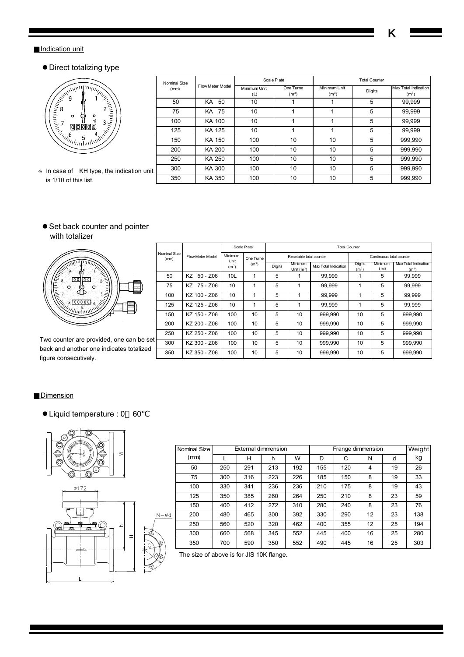# **K**

**Max Total Indication**  $(m<sup>3</sup>)$ 

# **Indication unit**

# • Direct totalizing type

|                                                                                                                                                                                                                                                                                                                                              | Nominal Size |                  | Scale Plate         |                                | <b>Total Counter</b>              |        |                                       |
|----------------------------------------------------------------------------------------------------------------------------------------------------------------------------------------------------------------------------------------------------------------------------------------------------------------------------------------------|--------------|------------------|---------------------|--------------------------------|-----------------------------------|--------|---------------------------------------|
| $\begin{picture}(180,10) \put(0,0){\line(1,0){100}} \put(10,0){\line(1,0){100}} \put(10,0){\line(1,0){100}} \put(10,0){\line(1,0){100}} \put(10,0){\line(1,0){100}} \put(10,0){\line(1,0){100}} \put(10,0){\line(1,0){100}} \put(10,0){\line(1,0){100}} \put(10,0){\line(1,0){100}} \put(10,0){\line(1,0){100}} \put(10,0){\line(1,0){100}}$ | (mm)         | Flow Meter Model | Minimum Unit<br>(L) | One Turne<br>(m <sup>3</sup> ) | Minimum Unit<br>(m <sup>3</sup> ) | Digits | Max Total Indica<br>(m <sup>3</sup> ) |
|                                                                                                                                                                                                                                                                                                                                              | 50           | -50<br>KA.       | 10                  |                                |                                   | 5      | 99,999                                |
|                                                                                                                                                                                                                                                                                                                                              | 75           | KA 75            | 10                  |                                |                                   | 5      | 99,999                                |
|                                                                                                                                                                                                                                                                                                                                              | 100          | KA 100           | 10                  |                                |                                   | 5      | 99,999                                |
|                                                                                                                                                                                                                                                                                                                                              | 125          | KA 125           | 10                  |                                |                                   | 5      | 99,999                                |
|                                                                                                                                                                                                                                                                                                                                              | 150          | KA 150           | 100                 | 10                             | 10                                | 5      | 999,990                               |
|                                                                                                                                                                                                                                                                                                                                              | 200          | KA 200           | 100                 | 10                             | 10                                | 5      | 999,990                               |
|                                                                                                                                                                                                                                                                                                                                              | 250          | KA 250           | 100                 | 10                             | 10                                | 5      | 999,990                               |
| In case of KH type, the indication unit                                                                                                                                                                                                                                                                                                      | 300          | KA 300           | 100                 | 10                             | 10                                | 5      | 999,990                               |
| is 1/10 of this list.                                                                                                                                                                                                                                                                                                                        | 350          | KA 350           | 100                 | 10                             | 10                                | 5      | 999,990                               |

● Set back counter and pointer with totalizer



Two counter are provided, one can be set back and another one indicates totalized figure consecutively.

|                      |                  |                   | Scale Plate       | <b>Total Counter</b> |                         |                      |                             |                 |                                           |  |  |
|----------------------|------------------|-------------------|-------------------|----------------------|-------------------------|----------------------|-----------------------------|-----------------|-------------------------------------------|--|--|
| Nominal Size<br>(mm) | Flow Meter Model | Minimum<br>Unit   | One Turne         |                      | Resetable total counter |                      | Continuous total counter    |                 |                                           |  |  |
|                      |                  | (m <sup>3</sup> ) | (m <sup>3</sup> ) | Digits               | Minimum<br>Unit $(m^3)$ | Max Total Indication | Digits<br>(m <sup>3</sup> ) | Minimum<br>Unit | Max Total Indication<br>(m <sup>3</sup> ) |  |  |
| 50                   | $50 - Z06$<br>KZ | 10L               | 1                 | 5                    |                         | 99.999               | 1                           | 5               | 99.999                                    |  |  |
| 75                   | KZ 75-Z06        | 10                | 1                 | 5                    |                         | 99.999               | 1                           | 5               | 99.999                                    |  |  |
| 100                  | KZ 100 - Z06     | 10                | 1                 | 5                    |                         | 99.999               | 1                           | 5               | 99.999                                    |  |  |
| 125                  | KZ 125 - Z06     | 10                | 1                 | 5                    |                         | 99.999               | 1                           | 5               | 99.999                                    |  |  |
| 150                  | KZ 150 - Z06     | 100               | 10                | 5                    | 10                      | 999,990              | 10                          | 5               | 999,990                                   |  |  |
| 200                  | KZ 200 - Z06     | 100               | 10                | 5                    | 10                      | 999,990              | 10                          | 5               | 999,990                                   |  |  |
| 250                  | KZ 250 - Z06     | 100               | 10                | 5                    | 10                      | 999.990              | 10                          | 5               | 999.990                                   |  |  |
| 300                  | KZ 300 - Z06     | 100               | 10                | 5                    | 10                      | 999,990              | 10                          | 5               | 999.990                                   |  |  |
| 350                  | KZ 350 - Z06     | 100               | 10                | 5                    | 10                      | 999.990              | 10                          | 5               | 999,990                                   |  |  |

## **Dimension**

Liquid temperature : 0 60



|    | Nominal Size |     |     | External dimmension |     |     | Frange dimmension | Weight |    |     |
|----|--------------|-----|-----|---------------------|-----|-----|-------------------|--------|----|-----|
|    | (mm)         |     | н   | h                   | W   | D   | C                 | N      | d  | kg  |
|    | 50           | 250 | 291 | 213                 | 192 | 155 | 120               | 4      | 19 | 26  |
|    | 75           | 300 | 316 | 223                 | 226 | 185 | 150               | 8      | 19 | 33  |
|    | 100          | 330 | 341 | 236                 | 236 | 210 | 175               | 8      | 19 | 43  |
|    | 125          | 350 | 385 | 260                 | 264 | 250 | 210               | 8      | 23 | 59  |
|    | 150          | 400 | 412 | 272                 | 310 | 280 | 240               | 8      | 23 | 76  |
| Ød | 200          | 480 | 465 | 300                 | 392 | 330 | 290               | 12     | 23 | 138 |
|    | 250          | 560 | 520 | 320                 | 462 | 400 | 355               | 12     | 25 | 194 |
|    | 300          | 660 | 568 | 345                 | 552 | 445 | 400               | 16     | 25 | 280 |
|    | 350          | 700 | 590 | 350                 | 552 | 490 | 445               | 16     | 25 | 303 |

The size of above is for JIS 10K flange.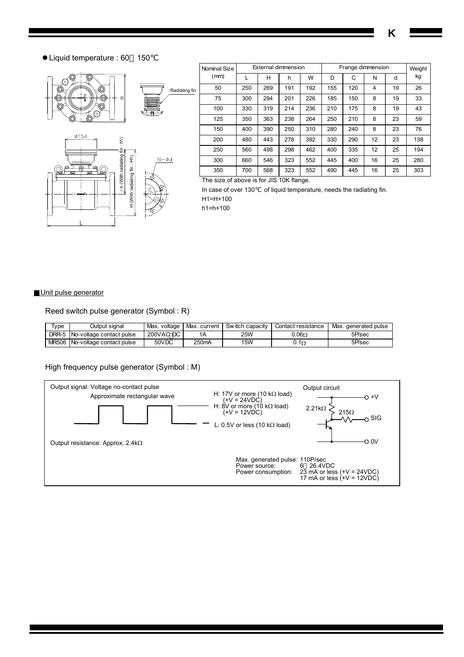**K** 

Liquid temperature : 60 150



|    | Nominal Size |     |     | External dimmension |     | Frange dimmension | Weight |    |    |     |
|----|--------------|-----|-----|---------------------|-----|-------------------|--------|----|----|-----|
|    | (mm)         |     | н   | h                   | W   | D                 | С      | N  | d  | kg  |
| in | 50           | 250 | 269 | 191                 | 192 | 155               | 120    | 4  | 19 | 26  |
|    | 75           | 300 | 294 | 201                 | 226 | 185               | 150    | 8  | 19 | 33  |
|    | 100          | 330 | 319 | 214                 | 236 | 210               | 175    | 8  | 19 | 43  |
|    | 125          | 350 | 363 | 238                 | 264 | 250               | 210    | 8  | 23 | 59  |
|    | 150          | 400 | 390 | 250                 | 310 | 280               | 240    | 8  | 23 | 76  |
|    | 200          | 480 | 443 | 278                 | 392 | 330               | 290    | 12 | 23 | 138 |
|    | 250          | 560 | 498 | 298                 | 462 | 400               | 335    | 12 | 25 | 194 |
|    | 300          | 660 | 546 | 323                 | 552 | 445               | 400    | 16 | 25 | 280 |
|    | 350          | 700 | 568 | 323                 | 552 | 490               | 445    | 16 | 25 | 303 |

The size of above is for JIS 10K flange.

In case of over 130 of liquid temperature, needs the radiating fin.

H1=H+100 h1=h+100

## Unit pulse generator

Reed switch pulse generator (Symbol : R)

| Type  | Output siɑnal                  | Max. voltage | Max.current        | Sw itch capacity | Contact resistance | Max.<br>. generated pulse |
|-------|--------------------------------|--------------|--------------------|------------------|--------------------|---------------------------|
| DRR-5 | No-voltage contact pulse       | 200VAC DC    | 1Α                 | 25W              | $0.06\Omega$       | 5P/sec                    |
|       | MR506 No-voltage contact pulse | 50VDC        | 250 <sub>m</sub> A | <b>15W</b>       | $0.1\Omega$        | 5P/sec                    |

High frequency pulse generator (Symbol : M)

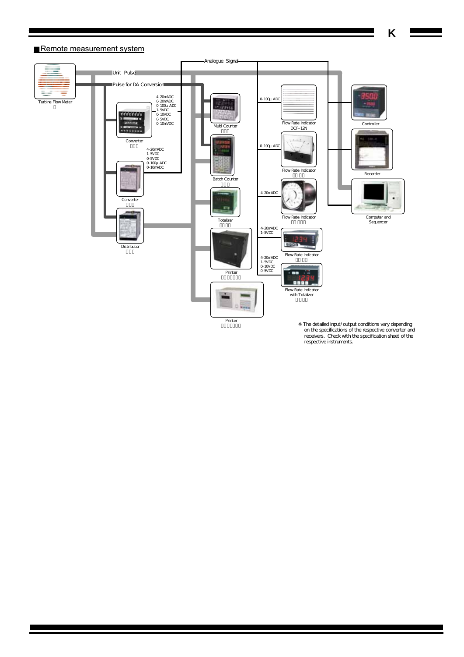

 on the specifications of the respective converter and receivers. Check with the specification sheet of the respective instruments.

# Remote measurement system

**K** 

 $\equiv$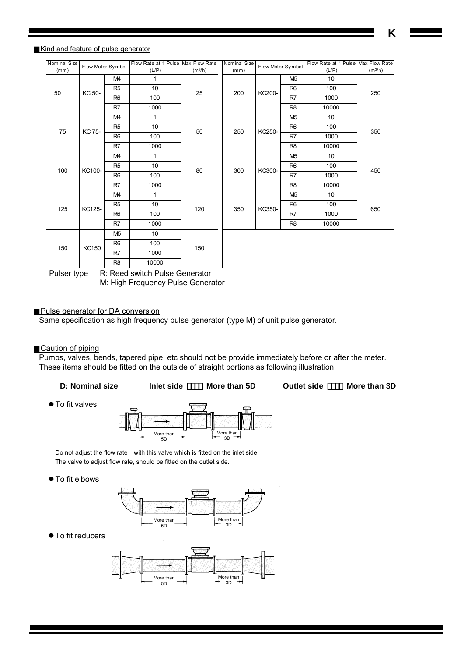**K** 

# Kind and feature of pulse generator

| <b>Nominal Size</b> | Flow Meter Symbol |                | Flow Rate at 1 Pulse Max Flow Rate |                     | <b>Nominal Size</b> | Flow Meter Symbol |                | Flow Rate at 1 Pulse Max Flow Rate |                     |  |
|---------------------|-------------------|----------------|------------------------------------|---------------------|---------------------|-------------------|----------------|------------------------------------|---------------------|--|
| (mm)                |                   |                | (L/P)                              | (m <sup>3</sup> /h) | (mm)                |                   |                | (L/P)                              | (m <sup>3</sup> /h) |  |
|                     |                   | M4             | 1                                  |                     |                     |                   | M <sub>5</sub> | 10                                 |                     |  |
| 50                  | KC 50-            | R <sub>5</sub> | 10 <sup>1</sup>                    | 25                  | 200                 | KC200-            | R <sub>6</sub> | 100                                | 250                 |  |
|                     |                   | R <sub>6</sub> | 100                                |                     |                     |                   | R <sub>7</sub> | 1000                               |                     |  |
|                     |                   | R7             | 1000                               |                     |                     |                   | R <sub>8</sub> | 10000                              |                     |  |
|                     |                   | M4             | 1                                  |                     |                     | KC250-            |                | M <sub>5</sub>                     | 10                  |  |
| 75                  | KC 75-            | R <sub>5</sub> | 10 <sup>1</sup>                    | 50                  | 250                 |                   | R <sub>6</sub> | 100                                |                     |  |
|                     |                   | R <sub>6</sub> | 100                                |                     |                     |                   | R7             | 1000                               | 350                 |  |
|                     |                   | R <sub>7</sub> | 1000                               |                     |                     |                   | R <sub>8</sub> | 10000                              |                     |  |
|                     |                   | M4             | 1                                  | 80                  |                     |                   |                | M <sub>5</sub>                     | 10                  |  |
| 100                 | KC100-            | R <sub>5</sub> | 10                                 |                     | 300                 | KC300-            | R <sub>6</sub> | 100                                | 450                 |  |
|                     |                   | R <sub>6</sub> | 100                                |                     |                     |                   | R <sub>7</sub> | 1000                               |                     |  |
|                     |                   | R <sub>7</sub> | 1000                               |                     |                     |                   | R <sub>8</sub> | 10000                              |                     |  |
|                     |                   | M4             | 1                                  |                     |                     |                   | M <sub>5</sub> | 10                                 |                     |  |
| 125                 | KC125-            | R <sub>5</sub> | 10                                 | 120                 | 350                 | KC350-            | R <sub>6</sub> | 100                                |                     |  |
|                     |                   | R <sub>6</sub> | 100                                |                     |                     |                   | R7             | 1000                               | 650                 |  |
|                     |                   | R7             | 1000                               |                     |                     |                   | R <sub>8</sub> | 10000                              |                     |  |
|                     |                   | M <sub>5</sub> | 10                                 |                     |                     |                   |                |                                    |                     |  |
| 150                 | KC150             | R <sub>6</sub> | 100                                | 150                 |                     |                   |                |                                    |                     |  |
|                     |                   | R7             | 1000                               |                     |                     |                   |                |                                    |                     |  |
|                     |                   | R <sub>8</sub> | 10000                              |                     |                     |                   |                |                                    |                     |  |

Ц Pulser type R: Reed switch Pulse Generator M: High Frequency Pulse Generator

#### Pulse generator for DA conversion

Same specification as high frequency pulse generator (type M) of unit pulse generator.

Caution of piping

Pumps, valves, bends, tapered pipe, etc should not be provide immediately before or after the meter. These items should be fitted on the outside of straight portions as following illustration.

|  | <b>D: Nominal size</b> | Inlet side | More than 5D | <b>Outlet side</b> | More than 3D |
|--|------------------------|------------|--------------|--------------------|--------------|
|--|------------------------|------------|--------------|--------------------|--------------|

● To fit valves



Do not adjust the flow rate with this valve which is fitted on the inlet side. The valve to adjust flow rate, should be fitted on the outlet side.

● To fit elbows



 $\bullet$  To fit reducers